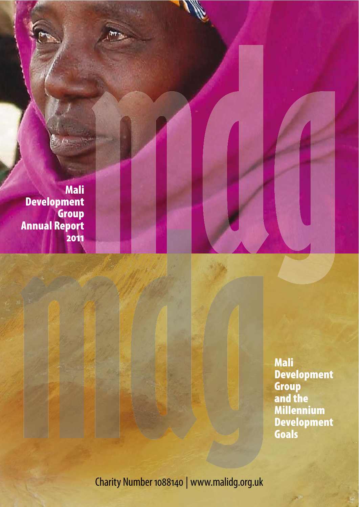**Mali** Development<br>Group **Annual Report** 2011

> **Mali Development Group<br>And the<br>Millennium** Development<br>Goals

Charity Number 1088140 | www.malidg.org.uk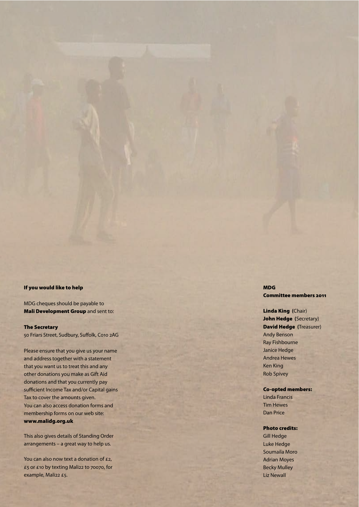### If you would like to help

MDG cheques should be payable to Mali Development Group and sent to:

#### The Secretary

50 Friars Street, Sudbury, Suffolk, Co10 2AG

Please ensure that you give us your name and address together with a statement that you want us to treat this and any other donations you make as Gift Aid donations and that you currently pay sufficient Income Tax and/or Capital gains Tax to cover the amounts given. You can also access donation forms and membership forms on our web site: www.malidg.org.uk

This also gives details of Standing Order arrangements – a great way to help us.

You can also now text a donation of £2, £5 or £10 by texting Mali22 to 70070, for example, Mali22 £5.

MDG Committee members 2011

### Linda King **(**Chair) John Hedge **(**Secretary) David Hedge **(**Treasurer) Andy Benson Ray Fishbourne Janice Hedge Andrea Hewes Ken King Rob Spivey

### Co-opted members:

Linda Francis Tim Hewes Dan Price

#### Photo credits:

Gill Hedge Luke Hedge Soumaila Moro Adrian Moyes Becky Mulley Liz Newall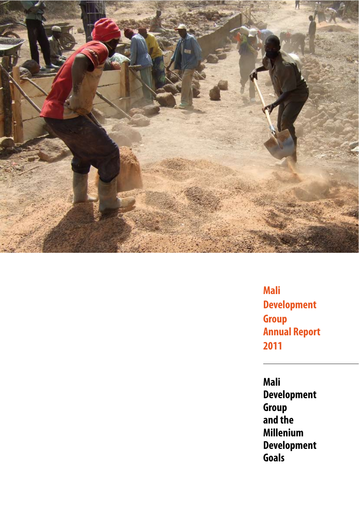

**Mali Development Group Annual Report 2011**

**Mali Development Group and the Millenium Development Goals**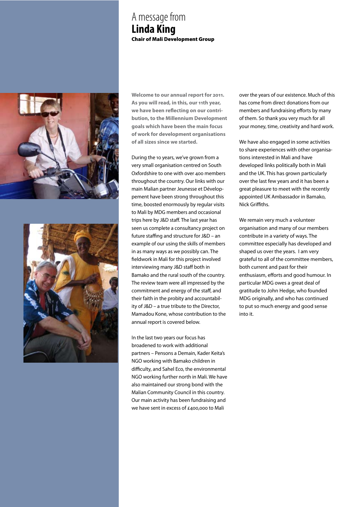### A message from **Linda King** Chair of Mali Development Group





**Welcome to our annual report for 2011. As you will read, in this, our 11th year,**  we have been reflecting on our contri**bution, to the Millennium Development goals which have been the main focus of work for development organisations of all sizes since we started.** 

During the 10 years, we've grown from a very small organisation centred on South Oxfordshire to one with over 400 members throughout the country. Our links with our main Malian partner Jeunesse et Développement have been strong throughout this time, boosted enormously by regular visits to Mali by MDG members and occasional trips here by J&D staff. The last year has seen us complete a consultancy project on future staffing and structure for  $J&D$  – an example of our using the skills of members in as many ways as we possibly can. The fieldwork in Mali for this project involved interviewing many J&D staff both in Bamako and the rural south of the country. The review team were all impressed by the commitment and energy of the staff, and their faith in the probity and accountability of J&D – a true tribute to the Director, Mamadou Kone, whose contribution to the annual report is covered below.

In the last two years our focus has broadened to work with additional partners – Pensons a Demain, Kader Keita's NGO working with Bamako children in difficulty, and Sahel Eco, the environmental NGO working further north in Mali. We have also maintained our strong bond with the Malian Community Council in this country. Our main activity has been fundraising and we have sent in excess of £400,000 to Mali

over the years of our existence. Much of this has come from direct donations from our members and fundraising efforts by many of them. So thank you very much for all your money, time, creativity and hard work.

We have also engaged in some activities to share experiences with other organisations interested in Mali and have developed links politically both in Mali and the UK. This has grown particularly over the last few years and it has been a great pleasure to meet with the recently appointed UK Ambassador in Bamako, Nick Griffiths.

We remain very much a volunteer organisation and many of our members contribute in a variety of ways. The committee especially has developed and shaped us over the years. I am very grateful to all of the committee members, both current and past for their enthusiasm, efforts and good humour. In particular MDG owes a great deal of gratitude to John Hedge, who founded MDG originally, and who has continued to put so much energy and good sense into it.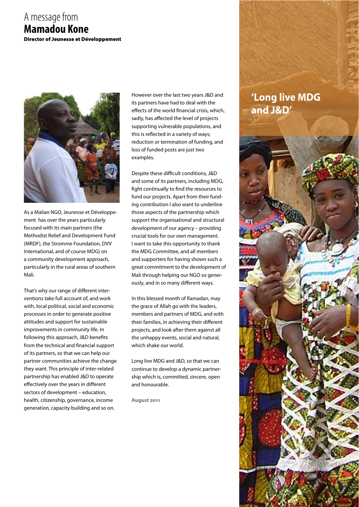### A message from **Mamadou Kone**  Director of Jeunesse et Développement



As a Malian NGO, Jeunesse et Développement has over the years particularly focused with its main partners (the Methodist Relief and Development Fund (MRDF), the Stromme Foundation, DVV International, and of course MDG) on a community development approach, particularly in the rural areas of southern Mali.

That's why our range of different interventions take full account of, and work with, local political, social and economic processes in order to generate positive attitudes and support for sustainable improvements in community life. In following this approach, J&D benefits from the technical and financial support of its partners, so that we can help our partner communities achieve the change they want. This principle of inter-related partnership has enabled J&D to operate effectively over the years in different sectors of development – education, health, citizenship, governance, income generation, capacity building and so on.

However over the last two years J&D and its partners have had to deal with the effects of the world financial crisis, which, sadly, has affected the level of projects supporting vulnerable populations, and this is reflected in a variety of ways; reduction or termination of funding, and loss of funded posts are just two examples.

Despite these difficult conditions, J&D and some of its partners, including MDG, fight continually to find the resources to fund our projects. Apart from their funding contribution I also want to underline those aspects of the partnership which support the organisational and structural development of our agency – providing crucial tools for our own management. I want to take this opportunity to thank the MDG Committee, and all members and supporters for having shown such a great commitment to the development of Mali through helping our NGO so generously, and in so many different ways.

In this blessed month of Ramadan, may the grace of Allah go with the leaders, members and partners of MDG, and with their families, in achieving their different projects, and look after them against all the unhappy events, social and natural, which shake our world.

Long live MDG and J&D, so that we can continue to develop a dynamic partnership which is, committed, sincere, open and honourable.

**August 2011**

# **'Long live MDG and J&D'**

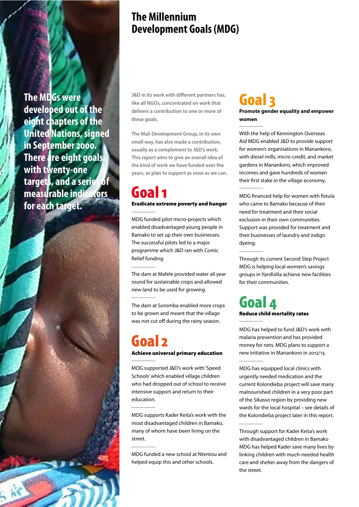**The MDGs were developed out of the eight chapters of the United Nations, signed in September 2000. There are eight goals with twenty-one targets, and a series of measurable indicators for each target.** 

# **The Millennium Development Goals (MDG)**

**J&D** in its work with different partners has, **like all NGOs, concentrated on work that delivers a contribution to one or more of these goals.**

**The Mali Development Group, in its own small way, has also made a contribution, usually as a complement to J&D's work. This report aims to give an overall idea of the kind of work we have funded over the years, or plan to support as soon as we can.**

# Goal 1 Eradicate extreme poverty and hunger

MDG funded pilot micro-projects which enabled disadvantaged young people in Bamako to set up their own businesses. The successful pilots led to a major programme which J&D ran with Comic Relief funding.

The dam at Mafele provided water all year round for sustainable crops and allowed new land to be used for growing.

The dam at Soromba enabled more crops to be grown and meant that the village was not cut off during the rainy season.

# Goal 2

Achieve universal primary education

MDG supported J&D's work with 'Speed Schools' which enabled village children who had dropped out of school to receive intensive support and return to their education.

MDG supports Kader Keita's work with the most disadvantaged children in Bamako, many of whom have been living on the street.

MDG funded a new school at Ntentou and helped equip this and other schools.

# Goal 3

**Promote gender equality and empower women**

With the help of Kennington Overseas Aid MDG enabled J&D to provide support for women's organisations in Manankoro, with diesel mills, micro-credit, and market gardens in Manankoro, which improved incomes and gave hundreds of women their first stake in the village economy.

MDG financed help for women with fistula who came to Bamako because of their need for treatment and their social exclusion in their own communities. Support was provided for treatment and their businesses of laundry and indigo dyeing.

Through its current Second Step Project MDG is helping local women's savings groups in Yanifolila achieve new facilities for their communities.

# Goal 4 Reduce child mortality rates

MDG has helped to fund J&D's work with malaria prevention and has provided money for nets. MDG plans to support a new initiative in Manankoro in 2012/13.

MDG has equipped local clinics with urgently needed medication and the current Kolondieba project will save many malnourished children in a very poor part of the Sikasso region by providing new wards for the local hospital – see details of the Kolondieba project later in this report.

Through support for Kader Keita's work with disadvantaged children in Bamako MDG has helped Kader save many lives by linking children with much-needed health care and shelter away from the dangers of the street.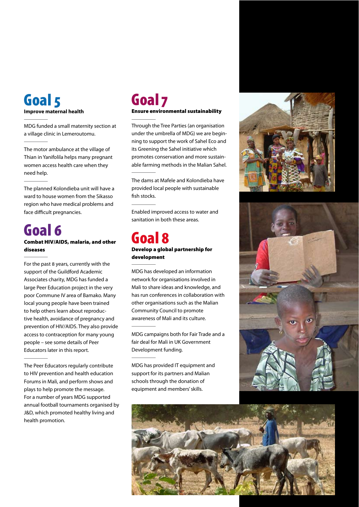### Goal 5 **Improve maternal health**

MDG funded a small maternity section at a village clinic in Lemeroutomu.

The motor ambulance at the village of Thian in Yanifolila helps many pregnant women access health care when they need help.

The planned Kolondieba unit will have a ward to house women from the Sikasso region who have medical problems and face difficult pregnancies.

### Goal 6 Combat HIV/AIDS, malaria, and other diseases

For the past 8 years, currently with the support of the Guildford Academic Associates charity, MDG has funded a large Peer Education project in the very poor Commune IV area of Bamako. Many local young people have been trained to help others learn about reproductive health, avoidance of pregnancy and prevention of HIV/AIDS. They also provide access to contraception for many young people – see some details of Peer Educators later in this report.

The Peer Educators regularly contribute to HIV prevention and health education Forums in Mali, and perform shows and plays to help promote the message. For a number of years MDG supported annual football tournaments organised by J&D, which promoted healthy living and health promotion.

## Goal 7 Ensure environmental sustainability

Through the Tree Parties (an organisation under the umbrella of MDG) we are beginning to support the work of Sahel Eco and its Greening the Sahel initiative which promotes conservation and more sustainable farming methods in the Malian Sahel.

The dams at Mafele and Kolondieba have provided local people with sustainable fish stocks.

Enabled improved access to water and sanitation in both these areas.

### Goal 8 Develop a global partnership for development

MDG has developed an information network for organisations involved in Mali to share ideas and knowledge, and has run conferences in collaboration with other organisations such as the Malian Community Council to promote awareness of Mali and its culture.

MDG campaigns both for Fair Trade and a fair deal for Mali in UK Government Development funding.

MDG has provided IT equipment and support for its partners and Malian schools through the donation of equipment and members' skills.





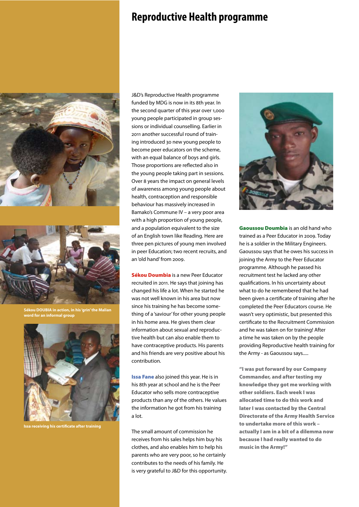# **Reproductive Health programme**





**Sékou DOUBIA in action, in his 'grin' the Malian word for an informal group**



**Issa receiving his certi%cate after training**

J&D's Reproductive Health programme funded by MDG is now in its 8th year. In the second quarter of this year over 1,000 young people participated in group sessions or individual counselling. Earlier in 2011 another successful round of training introduced 30 new young people to become peer educators on the scheme, with an equal balance of boys and girls. Those proportions are reflected also in the young people taking part in sessions. Over 8 years the impact on general levels of awareness among young people about health, contraception and responsible behaviour has massively increased in Bamako's Commune IV – a very poor area with a high proportion of young people, and a population equivalent to the size of an English town like Reading. Here are three pen pictures of young men involved in peer Education; two recent recruits, and an 'old hand' from 2009.

Sékou Doumbia is a new Peer Educator recruited in 2011. He says that joining has changed his life a lot. When he started he was not well known in his area but now since his training he has become something of a 'saviour' for other young people in his home area. He gives them clear information about sexual and reproductive health but can also enable them to have contraceptive products. His parents and his friends are very positive about his contribution.

**Issa Fane** also joined this year. He is in his 8th year at school and he is the Peer Educator who sells more contraceptive products than any of the others. He values the information he got from his training a lot.

The small amount of commission he receives from his sales helps him buy his clothes, and also enables him to help his parents who are very poor, so he certainly contributes to the needs of his family. He is very grateful to J&D for this opportunity.



Gaoussou Doumbia is an old hand who trained as a Peer Educator in 2009. Today he is a soldier in the Military Engineers. Gaoussou says that he owes his success in joining the Army to the Peer Educator programme. Although he passed his recruitment test he lacked any other qualifications. In his uncertainty about what to do he remembered that he had been given a certificate of training after he completed the Peer Educators course. He wasn't very optimistic, but presented this certificate to the Recruitment Commission and he was taken on for training! After a time he was taken on by the people providing Reproductive health training for the Army - as Gaoussou says.....

"I was put forward by our Company Commander, and after testing my knowledge they got me working with other soldiers. Each week I was allocated time to do this work and later I was contacted by the Central Directorate of the Army Health Service to undertake more of this work – actually I am in a bit of a dilemma now because I had really wanted to do music in the Army!"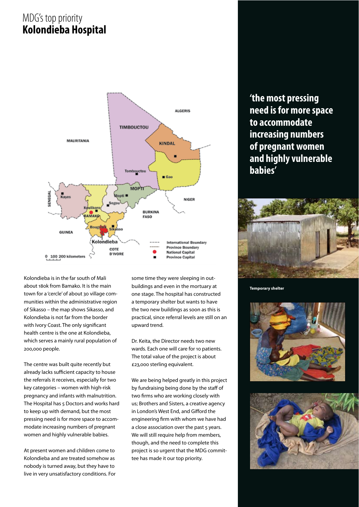# MDG's top priority **Kolondieba Hospital**



Kolondieba is in the far south of Mali about 180k from Bamako. It is the main town for a 'cercle' of about 30 village communities within the administrative region of Sikasso – the map shows Sikasso, and Kolondieba is not far from the border with Ivory Coast. The only significant health centre is the one at Kolondieba, which serves a mainly rural population of 200,000 people.

The centre was built quite recently but already lacks sufficient capacity to house the referrals it receives, especially for two key categories – women with high-risk pregnancy and infants with malnutrition. The Hospital has 5 Doctors and works hard to keep up with demand, but the most pressing need is for more space to accommodate increasing numbers of pregnant women and highly vulnerable babies.

At present women and children come to Kolondieba and are treated somehow as nobody is turned away, but they have to live in very unsatisfactory conditions. For some time they were sleeping in outbuildings and even in the mortuary at one stage. The hospital has constructed a temporary shelter but wants to have the two new buildings as soon as this is practical, since referral levels are still on an upward trend.

Dr. Keita, the Director needs two new wards. Each one will care for 10 patients. The total value of the project is about £23,000 sterling equivalent.

We are being helped greatly in this project by fundraising being done by the staff of two firms who are working closely with us; Brothers and Sisters, a creative agency in London's West End, and Gifford the engineering firm with whom we have had a close association over the past 5 years. We will still require help from members, though, and the need to complete this project is so urgent that the MDG committee has made it our top priority.

**'the most pressing need is for more space to accommodate increasing numbers of pregnant women and highly vulnerable babies'**



**Temporary shelter**



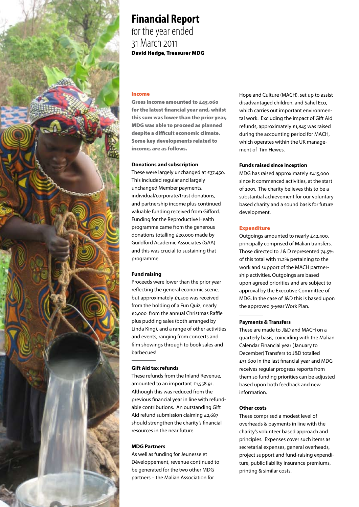

## **Financial Report** for the year ended 31 March 2011 David Hedge, Treasurer MDG

### Income

Gross income amounted to £45,060 for the latest financial year and, whilst this sum was lower than the prior year, MDG was able to proceed as planned despite a difficult economic climate. Some key developments related to income, are as follows.

#### **Donations and subscription**

These were largely unchanged at £37,450. This included regular and largely unchanged Member payments, individual/corporate/trust donations, and partnership income plus continued valuable funding received from Gifford. Funding for the Reproductive Health programme came from the generous donations totalling £20,000 made by Guildford Academic Associates (GAA) and this was crucial to sustaining that programme.

### **Fund raising**

Proceeds were lower than the prior year reflecting the general economic scene, but approximately £1,500 was received from the holding of a Fun Quiz, nearly £2,000 from the annual Christmas Raffle plus pudding sales (both arranged by Linda King), and a range of other activities and events, ranging from concerts and film showings through to book sales and barbecues!

### **Gift Aid tax refunds**

These refunds from the Inland Revenue, amounted to an important £1,558.91. Although this was reduced from the previous financial year in line with refundable contributions. An outstanding Gift Aid refund submission claiming £2,687 should strengthen the charity's financial resources in the near future.

### **MDG Partners**

As well as funding for Jeunesse et Développement, revenue continued to be generated for the two other MDG partners – the Malian Association for

Hope and Culture (MACH), set up to assist disadvantaged children, and Sahel Eco, which carries out important environmental work. Excluding the impact of Gift Aid refunds, approximately £1,845 was raised during the accounting period for MACH, which operates within the UK management of Tim Hewes.

#### **Funds raised since inception**

MDG has raised approximately £415,000 since it commenced activities, at the start of 2001. The charity believes this to be a substantial achievement for our voluntary based charity and a sound basis for future development.

### Expenditure

Outgoings amounted to nearly £42,400, principally comprised of Malian transfers. Those directed to J & D represented 74.5% of this total with 11.2% pertaining to the work and support of the MACH partnership activities. Outgoings are based upon agreed priorities and are subject to approval by the Executive Committee of MDG. In the case of J&D this is based upon the approved 3-year Work Plan.

### **Payments & Transfers**

These are made to J&D and MACH on a quarterly basis, coinciding with the Malian Calendar Financial year (January to December) Transfers to J&D totalled  $£31,600$  in the last financial year and MDG receives regular progress reports from them so funding priorities can be adjusted based upon both feedback and new information.

### **Other costs**

These comprised a modest level of overheads & payments in line with the charity's volunteer based approach and principles. Expenses cover such items as secretarial expenses, general overheads, project support and fund-raising expenditure, public liability insurance premiums, printing & similar costs.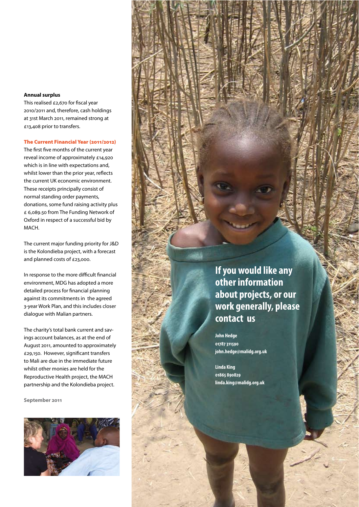### **Annual surplus**

This realised  $£2,670$  for fiscal year 2010/2011 and, therefore, cash holdings at 31st March 2011, remained strong at £13,408 prior to transfers.

### The Current Financial Year (2011/2012)

The first five months of the current year reveal income of approximately £14,920 which is in line with expectations and, whilst lower than the prior year, reflects the current UK economic environment. These receipts principally consist of normal standing order payments, donations, some fund raising activity plus £ 6,089.50 from The Funding Network of Oxford in respect of a successful bid by MACH.

The current major funding priority for J&D is the Kolondieba project, with a forecast and planned costs of £23,000.

In response to the more difficult financial environment, MDG has adopted a more detailed process for financial planning against its commitments in the agreed 3-year Work Plan, and this includes closer dialogue with Malian partners.

The charity's total bank current and savings account balances, as at the end of August 2011, amounted to approximately £29,150. However, significant transfers to Mali are due in the immediate future whilst other monies are held for the Reproductive Health project, the MACH partnership and the Kolondieba project.

**September 2011**



**If you would like any other information about projects, or our work generally, please contact us**

**John Hedge 01787311590 john.hedge@malidg.org.uk** 

**Linda King 01865 890829 linda.king@malidg.org.uk**